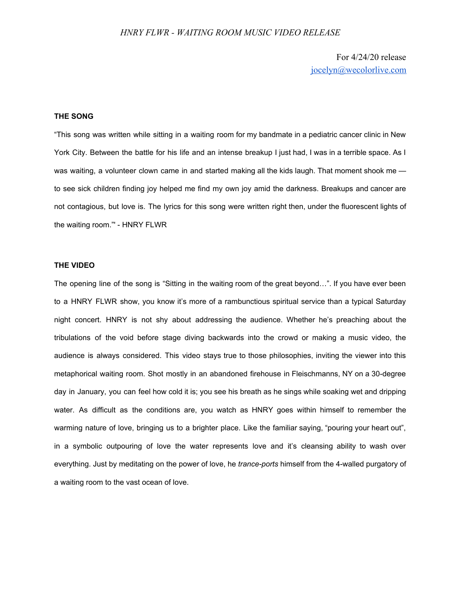## *HNRY FLWR - WAITING ROOM MUSIC VIDEO RELEASE*

For 4/24/20 release [jocelyn@wecolorlive.com](mailto:jocelyn@wecolorlive.com)

## **THE SONG**

"This song was written while sitting in a waiting room for my bandmate in a pediatric cancer clinic in New York City. Between the battle for his life and an intense breakup I just had, I was in a terrible space. As I was waiting, a volunteer clown came in and started making all the kids laugh. That moment shook me to see sick children finding joy helped me find my own joy amid the darkness. Breakups and cancer are not contagious, but love is. The lyrics for this song were written right then, under the fluorescent lights of the waiting room."' - HNRY FLWR

### **THE VIDEO**

The opening line of the song is "Sitting in the waiting room of the great beyond…". If you have ever been to a HNRY FLWR show, you know it's more of a rambunctious spiritual service than a typical Saturday night concert. HNRY is not shy about addressing the audience. Whether he's preaching about the tribulations of the void before stage diving backwards into the crowd or making a music video, the audience is always considered. This video stays true to those philosophies, inviting the viewer into this metaphorical waiting room. Shot mostly in an abandoned firehouse in Fleischmanns, NY on a 30-degree day in January, you can feel how cold it is; you see his breath as he sings while soaking wet and dripping water. As difficult as the conditions are, you watch as HNRY goes within himself to remember the warming nature of love, bringing us to a brighter place. Like the familiar saying, "pouring your heart out", in a symbolic outpouring of love the water represents love and it's cleansing ability to wash over everything. Just by meditating on the power of love, he *trance-ports* himself from the 4-walled purgatory of a waiting room to the vast ocean of love.